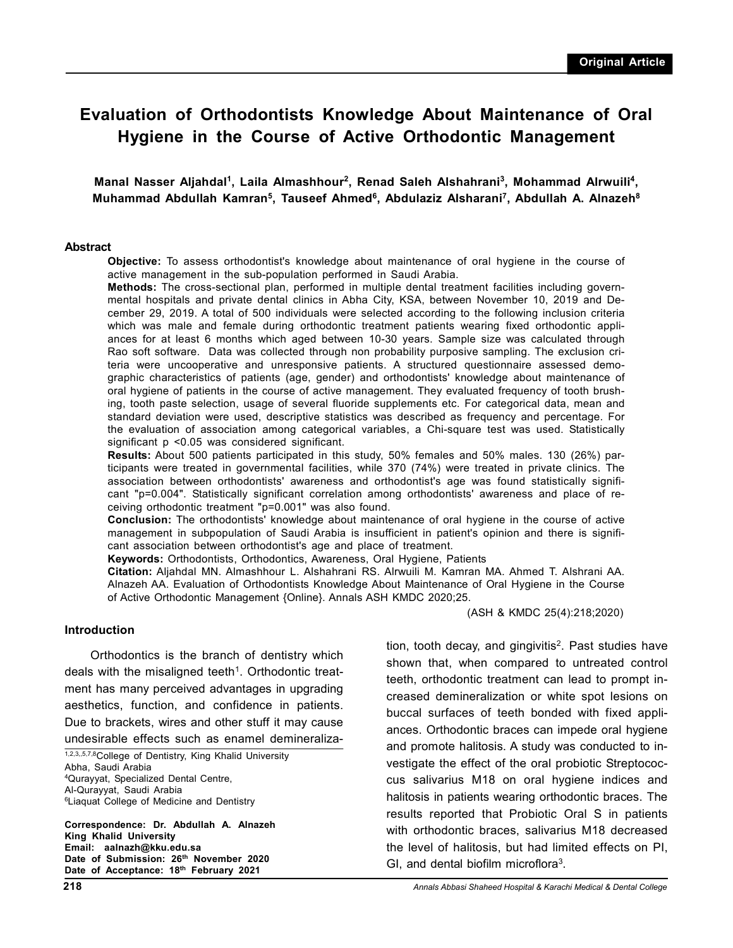# **Evaluation of Orthodontists Knowledge About Maintenance of Oral Hygiene in the Course of Active Orthodontic Management**

**Manal Nasser Aljahdal<sup>1</sup> , Laila Almashhour<sup>2</sup> , Renad Saleh Alshahrani<sup>3</sup> , Mohammad Alrwuili<sup>4</sup> , Muhammad Abdullah Kamran<sup>5</sup> , Tauseef Ahmed<sup>6</sup> , Abdulaziz Alsharani<sup>7</sup> , Abdullah A. Alnazeh<sup>8</sup>**

#### **Abstract**

**Objective:** To assess orthodontist's knowledge about maintenance of oral hygiene in the course of active management in the sub-population performed in Saudi Arabia.

**Methods:** The cross-sectional plan, performed in multiple dental treatment facilities including governmental hospitals and private dental clinics in Abha City, KSA, between November 10, 2019 and December 29, 2019. A total of 500 individuals were selected according to the following inclusion criteria which was male and female during orthodontic treatment patients wearing fixed orthodontic appliances for at least 6 months which aged between 10-30 years. Sample size was calculated through Rao soft software. Data was collected through non probability purposive sampling. The exclusion criteria were uncooperative and unresponsive patients. A structured questionnaire assessed demographic characteristics of patients (age, gender) and orthodontists' knowledge about maintenance of oral hygiene of patients in the course of active management. They evaluated frequency of tooth brushing, tooth paste selection, usage of several fluoride supplements etc. For categorical data, mean and standard deviation were used, descriptive statistics was described as frequency and percentage. For the evaluation of association among categorical variables, a Chi-square test was used. Statistically significant p <0.05 was considered significant.

**Results:** About 500 patients participated in this study, 50% females and 50% males. 130 (26%) participants were treated in governmental facilities, while 370 (74%) were treated in private clinics. The association between orthodontists' awareness and orthodontist's age was found statistically significant "p=0.004". Statistically significant correlation among orthodontists' awareness and place of receiving orthodontic treatment "p=0.001" was also found.

**Conclusion:** The orthodontists' knowledge about maintenance of oral hygiene in the course of active management in subpopulation of Saudi Arabia is insufficient in patient's opinion and there is significant association between orthodontist's age and place of treatment.

**Keywords:** Orthodontists, Orthodontics, Awareness, Oral Hygiene, Patients

**Citation:** Aljahdal MN. Almashhour L. Alshahrani RS. Alrwuili M. Kamran MA. Ahmed T. Alshrani AA. Alnazeh AA. Evaluation of Orthodontists Knowledge About Maintenance of Oral Hygiene in the Course of Active Orthodontic Management {Online}. Annals ASH KMDC 2020;25.

#### **Introduction**

Orthodontics is the branch of dentistry which deals with the misaligned teeth<sup>1</sup>. Orthodontic treatment has many perceived advantages in upgrading aesthetics, function, and confidence in patients. Due to brackets, wires and other stuff it may cause undesirable effects such as enamel demineraliza-

1,2,3,,5,7,8College of Dentistry, King Khalid University Abha, Saudi Arabia <sup>4</sup>Qurayyat, Specialized Dental Centre, Al-Qurayyat, Saudi Arabia <sup>6</sup>Liaquat College of Medicine and Dentistry

**Correspondence: Dr. Abdullah A. Alnazeh King Khalid University Email: aalnazh@kku.edu.sa Date of Submission: 26th November 2020 Date of Acceptance: 18th February 2021**

(ASH & KMDC 25(4):218;2020)

tion, tooth decay, and gingivitis<sup>2</sup>. Past studies have shown that, when compared to untreated control teeth, orthodontic treatment can lead to prompt increased demineralization or white spot lesions on buccal surfaces of teeth bonded with fixed appliances. Orthodontic braces can impede oral hygiene and promote halitosis. A study was conducted to investigate the effect of the oral probiotic Streptococcus salivarius M18 on oral hygiene indices and halitosis in patients wearing orthodontic braces. The results reported that Probiotic Oral S in patients with orthodontic braces, salivarius M18 decreased the level of halitosis, but had limited effects on PI, GI, and dental biofilm microflora<sup>3</sup>.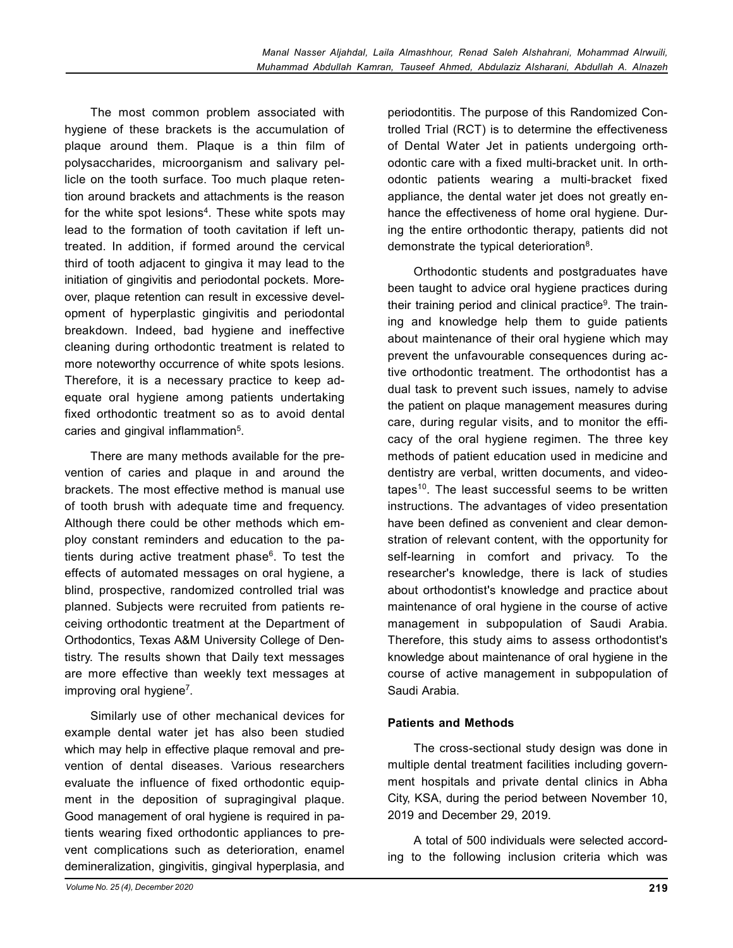The most common problem associated with hygiene of these brackets is the accumulation of plaque around them. Plaque is a thin film of polysaccharides, microorganism and salivary pellicle on the tooth surface. Too much plaque retention around brackets and attachments is the reason for the white spot lesions<sup>4</sup>. These white spots may lead to the formation of tooth cavitation if left untreated. In addition, if formed around the cervical third of tooth adjacent to gingiva it may lead to the initiation of gingivitis and periodontal pockets. Moreover, plaque retention can result in excessive development of hyperplastic gingivitis and periodontal breakdown. Indeed, bad hygiene and ineffective cleaning during orthodontic treatment is related to more noteworthy occurrence of white spots lesions. Therefore, it is a necessary practice to keep adequate oral hygiene among patients undertaking fixed orthodontic treatment so as to avoid dental caries and gingival inflammation<sup>5</sup>.

There are many methods available for the prevention of caries and plaque in and around the brackets. The most effective method is manual use of tooth brush with adequate time and frequency. Although there could be other methods which employ constant reminders and education to the patients during active treatment phase<sup>6</sup>. To test the effects of automated messages on oral hygiene, a blind, prospective, randomized controlled trial was planned. Subjects were recruited from patients receiving orthodontic treatment at the Department of Orthodontics, Texas A&M University College of Dentistry. The results shown that Daily text messages are more effective than weekly text messages at improving oral hygiene<sup>7</sup>.

Similarly use of other mechanical devices for example dental water jet has also been studied which may help in effective plaque removal and prevention of dental diseases. Various researchers evaluate the influence of fixed orthodontic equipment in the deposition of supragingival plaque. Good management of oral hygiene is required in patients wearing fixed orthodontic appliances to prevent complications such as deterioration, enamel demineralization, gingivitis, gingival hyperplasia, and periodontitis. The purpose of this Randomized Controlled Trial (RCT) is to determine the effectiveness of Dental Water Jet in patients undergoing orthodontic care with a fixed multi-bracket unit. In orthodontic patients wearing a multi-bracket fixed appliance, the dental water jet does not greatly enhance the effectiveness of home oral hygiene. During the entire orthodontic therapy, patients did not demonstrate the typical deterioration<sup>8</sup>.

Orthodontic students and postgraduates have been taught to advice oral hygiene practices during their training period and clinical practice<sup>9</sup>. The training and knowledge help them to guide patients about maintenance of their oral hygiene which may prevent the unfavourable consequences during active orthodontic treatment. The orthodontist has a dual task to prevent such issues, namely to advise the patient on plaque management measures during care, during regular visits, and to monitor the efficacy of the oral hygiene regimen. The three key methods of patient education used in medicine and dentistry are verbal, written documents, and videotapes<sup>10</sup>. The least successful seems to be written instructions. The advantages of video presentation have been defined as convenient and clear demonstration of relevant content, with the opportunity for self-learning in comfort and privacy. To the researcher's knowledge, there is lack of studies about orthodontist's knowledge and practice about maintenance of oral hygiene in the course of active management in subpopulation of Saudi Arabia. Therefore, this study aims to assess orthodontist's knowledge about maintenance of oral hygiene in the course of active management in subpopulation of Saudi Arabia.

# **Patients and Methods**

The cross-sectional study design was done in multiple dental treatment facilities including government hospitals and private dental clinics in Abha City, KSA, during the period between November 10, 2019 and December 29, 2019.

A total of 500 individuals were selected according to the following inclusion criteria which was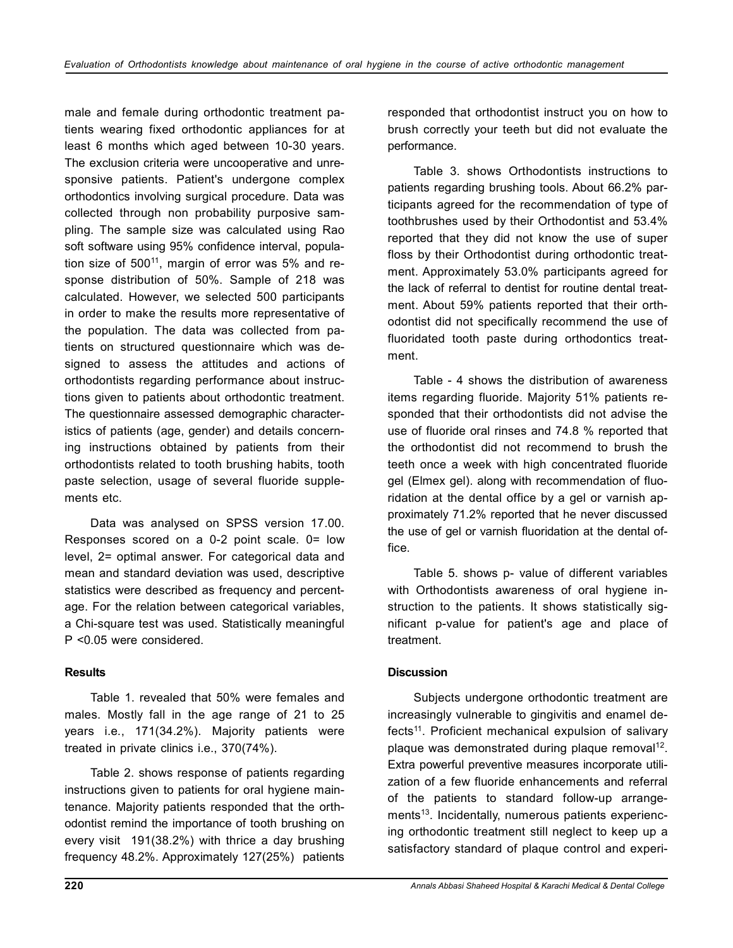male and female during orthodontic treatment patients wearing fixed orthodontic appliances for at least 6 months which aged between 10-30 years. The exclusion criteria were uncooperative and unresponsive patients. Patient's undergone complex orthodontics involving surgical procedure. Data was collected through non probability purposive sampling. The sample size was calculated using Rao soft software using 95% confidence interval, population size of  $500^{11}$ , margin of error was  $5\%$  and response distribution of 50%. Sample of 218 was calculated. However, we selected 500 participants in order to make the results more representative of the population. The data was collected from patients on structured questionnaire which was designed to assess the attitudes and actions of orthodontists regarding performance about instructions given to patients about orthodontic treatment. The questionnaire assessed demographic characteristics of patients (age, gender) and details concerning instructions obtained by patients from their orthodontists related to tooth brushing habits, tooth paste selection, usage of several fluoride supplements etc.

Data was analysed on SPSS version 17.00. Responses scored on a 0-2 point scale. 0= low level, 2= optimal answer. For categorical data and mean and standard deviation was used, descriptive statistics were described as frequency and percentage. For the relation between categorical variables, a Chi-square test was used. Statistically meaningful P <0.05 were considered.

# **Results**

Table 1. revealed that 50% were females and males. Mostly fall in the age range of 21 to 25 years i.e., 171(34.2%). Majority patients were treated in private clinics i.e., 370(74%).

Table 2. shows response of patients regarding instructions given to patients for oral hygiene maintenance. Majority patients responded that the orthodontist remind the importance of tooth brushing on every visit 191(38.2%) with thrice a day brushing frequency 48.2%. Approximately 127(25%) patients

responded that orthodontist instruct you on how to brush correctly your teeth but did not evaluate the performance.

Table 3. shows Orthodontists instructions to patients regarding brushing tools. About 66.2% participants agreed for the recommendation of type of toothbrushes used by their Orthodontist and 53.4% reported that they did not know the use of super floss by their Orthodontist during orthodontic treatment. Approximately 53.0% participants agreed for the lack of referral to dentist for routine dental treatment. About 59% patients reported that their orthodontist did not specifically recommend the use of fluoridated tooth paste during orthodontics treatment.

Table - 4 shows the distribution of awareness items regarding fluoride. Majority 51% patients responded that their orthodontists did not advise the use of fluoride oral rinses and 74.8 % reported that the orthodontist did not recommend to brush the teeth once a week with high concentrated fluoride gel (Elmex gel). along with recommendation of fluoridation at the dental office by a gel or varnish approximately 71.2% reported that he never discussed the use of gel or varnish fluoridation at the dental office.

Table 5. shows p- value of different variables with Orthodontists awareness of oral hygiene instruction to the patients. It shows statistically significant p-value for patient's age and place of treatment.

# **Discussion**

Subjects undergone orthodontic treatment are increasingly vulnerable to gingivitis and enamel defects<sup>11</sup>. Proficient mechanical expulsion of salivary plaque was demonstrated during plaque removal<sup>12</sup>. Extra powerful preventive measures incorporate utilization of a few fluoride enhancements and referral of the patients to standard follow-up arrangements<sup>13</sup>. Incidentally, numerous patients experiencing orthodontic treatment still neglect to keep up a satisfactory standard of plaque control and experi-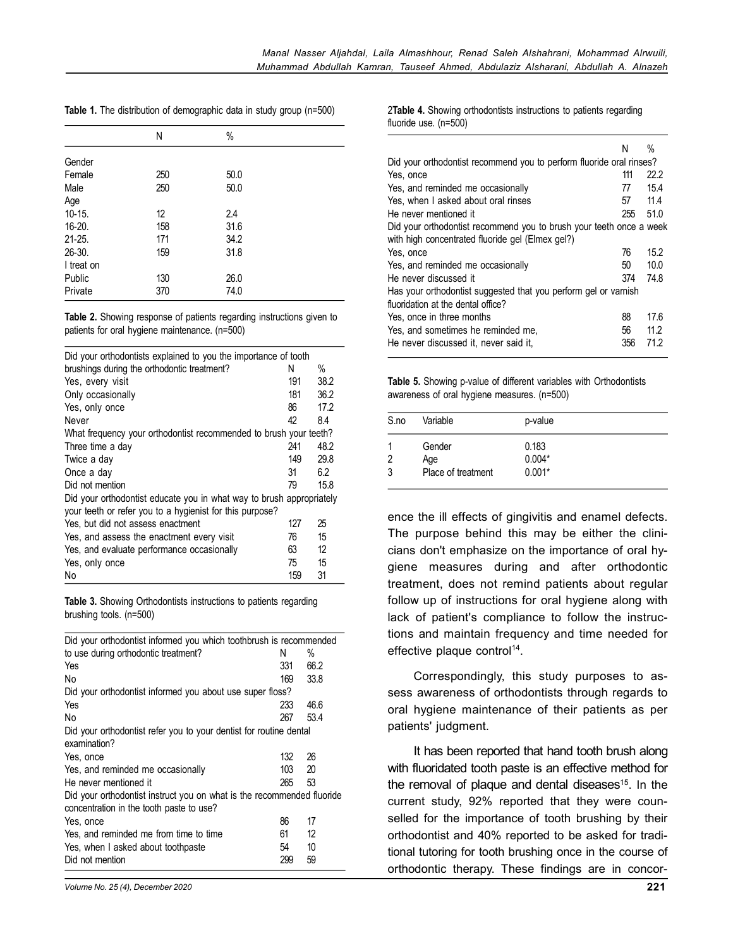|  |  |  |  | Table 1. The distribution of demographic data in study group (n=500) |  |  |  |  |  |
|--|--|--|--|----------------------------------------------------------------------|--|--|--|--|--|
|--|--|--|--|----------------------------------------------------------------------|--|--|--|--|--|

|            | N   | $\%$ |
|------------|-----|------|
| Gender     |     |      |
| Female     | 250 | 50.0 |
| Male       | 250 | 50.0 |
| Age        |     |      |
| $10-15.$   | 12  | 2.4  |
| $16 - 20.$ | 158 | 31.6 |
| $21 - 25.$ | 171 | 34.2 |
| 26-30.     | 159 | 31.8 |
| I treat on |     |      |
| Public     | 130 | 26.0 |
| Private    | 370 | 74.0 |

**Table 2.** Showing response of patients regarding instructions given to patients for oral hygiene maintenance. (n=500)

| Did your orthodontists explained to you the importance of tooth      |     |      |
|----------------------------------------------------------------------|-----|------|
| brushings during the orthodontic treatment?                          | N   | %    |
| Yes, every visit                                                     | 191 | 38.2 |
| Only occasionally                                                    | 181 | 36.2 |
| Yes, only once                                                       | 86  | 17.2 |
| Never                                                                | 42  | 8.4  |
| What frequency your orthodontist recommended to brush your teeth?    |     |      |
| Three time a day                                                     | 241 | 48.2 |
| Twice a day                                                          | 149 | 29.8 |
| Once a day                                                           | 31  | 6.2  |
| Did not mention                                                      | 79  | 15.8 |
| Did your orthodontist educate you in what way to brush appropriately |     |      |
| your teeth or refer you to a hygienist for this purpose?             |     |      |
| Yes, but did not assess enactment                                    | 127 | 25   |
| Yes, and assess the enactment every visit                            | 76  | 15   |
| Yes, and evaluate performance occasionally                           | 63  | 12   |
| Yes, only once                                                       | 75  | 15   |
| No                                                                   | 159 | 31   |

**Table 3.** Showing Orthodontists instructions to patients regarding brushing tools. (n=500)

| Did your orthodontist informed you which toothbrush is recommended     |     |      |  |
|------------------------------------------------------------------------|-----|------|--|
| to use during orthodontic treatment?                                   | N   | %    |  |
| Yes                                                                    | 331 | 66.2 |  |
| N٥                                                                     | 169 | 33.8 |  |
| Did your orthodontist informed you about use super floss?              |     |      |  |
| Yes                                                                    | 233 | 46.6 |  |
| No                                                                     | 267 | 53.4 |  |
| Did your orthodontist refer you to your dentist for routine dental     |     |      |  |
| examination?                                                           |     |      |  |
| Yes, once                                                              | 132 | 26   |  |
| Yes, and reminded me occasionally                                      | 103 | 20   |  |
| He never mentioned it                                                  | 265 | 53   |  |
| Did your orthodontist instruct you on what is the recommended fluoride |     |      |  |
| concentration in the tooth paste to use?                               |     |      |  |
| Yes, once                                                              | 86  | 17   |  |
| Yes, and reminded me from time to time                                 | 61  | 12   |  |
| Yes, when I asked about toothpaste                                     | 54  | 10   |  |
| Did not mention                                                        | 299 | 59   |  |
|                                                                        |     |      |  |

2**Table 4.** Showing orthodontists instructions to patients regarding fluoride use. (n=500)

|                                                                      | N   | %                 |
|----------------------------------------------------------------------|-----|-------------------|
| Did your orthodontist recommend you to perform fluoride oral rinses? |     |                   |
| Yes, once                                                            | 111 | 22.2              |
| Yes, and reminded me occasionally                                    | 77  | 15.4              |
| Yes, when I asked about oral rinses                                  | 57  | 11.4              |
| He never mentioned it                                                | 255 | 51.0              |
| Did your orthodontist recommend you to brush your teeth once a week  |     |                   |
| with high concentrated fluoride gel (Elmex gel?)                     |     |                   |
| Yes, once                                                            | 76  | 15.2 <sub>2</sub> |
| Yes, and reminded me occasionally                                    | 50  | 10.0              |
| He never discussed it                                                | 374 | 74.8              |
| Has your orthodontist suggested that you perform gel or varnish      |     |                   |
| fluoridation at the dental office?                                   |     |                   |
| Yes, once in three months                                            | 88  | 17.6              |
| Yes, and sometimes he reminded me,                                   | 56  | 11.2              |
| He never discussed it, never said it,                                | 356 | 71.2              |

**Table 5.** Showing p-value of different variables with Orthodontists awareness of oral hygiene measures. (n=500)

| S.no | Variable                            | p-value                       |
|------|-------------------------------------|-------------------------------|
| 3    | Gender<br>Age<br>Place of treatment | 0.183<br>$0.004*$<br>$0.001*$ |

ence the ill effects of gingivitis and enamel defects. The purpose behind this may be either the clinicians don't emphasize on the importance of oral hygiene measures during and after orthodontic treatment, does not remind patients about regular follow up of instructions for oral hygiene along with lack of patient's compliance to follow the instructions and maintain frequency and time needed for effective plaque control<sup>14</sup>.

Correspondingly, this study purposes to assess awareness of orthodontists through regards to oral hygiene maintenance of their patients as per patients' judgment.

It has been reported that hand tooth brush along with fluoridated tooth paste is an effective method for the removal of plaque and dental diseases<sup>15</sup>. In the current study, 92% reported that they were counselled for the importance of tooth brushing by their orthodontist and 40% reported to be asked for traditional tutoring for tooth brushing once in the course of orthodontic therapy. These findings are in concor-

*Volume No. 25 (4), December 2020*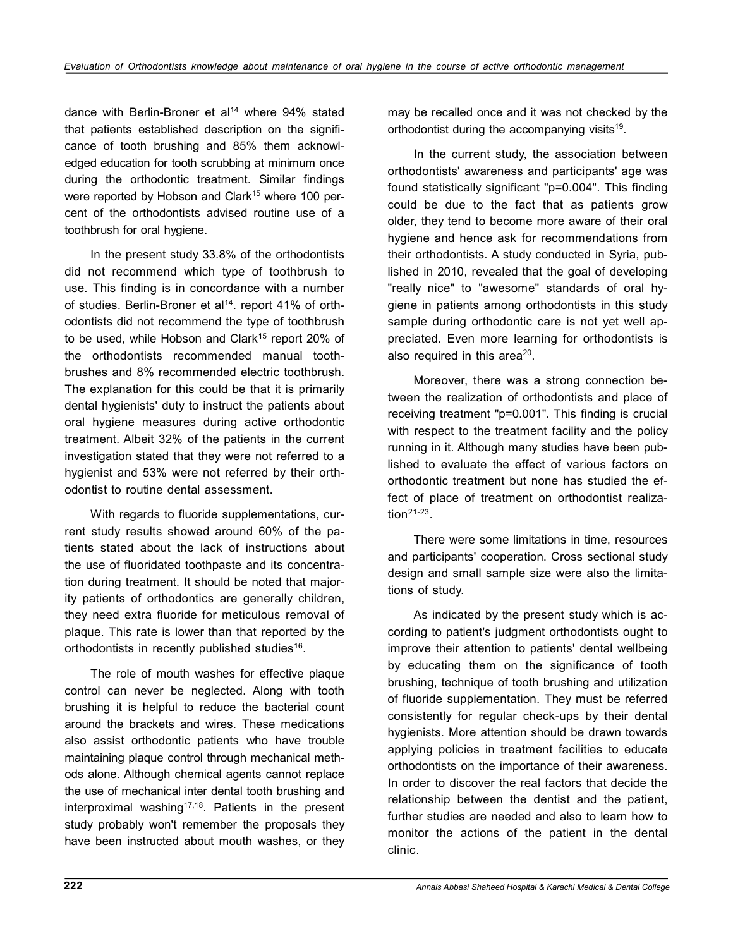dance with Berlin-Broner et al<sup>14</sup> where 94% stated that patients established description on the significance of tooth brushing and 85% them acknowledged education for tooth scrubbing at minimum once during the orthodontic treatment. Similar findings were reported by Hobson and Clark<sup>15</sup> where 100 percent of the orthodontists advised routine use of a toothbrush for oral hygiene.

In the present study 33.8% of the orthodontists did not recommend which type of toothbrush to use. This finding is in concordance with a number of studies. Berlin-Broner et al<sup>14</sup>. report 41% of orthodontists did not recommend the type of toothbrush to be used, while Hobson and Clark<sup>15</sup> report 20% of the orthodontists recommended manual toothbrushes and 8% recommended electric toothbrush. The explanation for this could be that it is primarily dental hygienists' duty to instruct the patients about oral hygiene measures during active orthodontic treatment. Albeit 32% of the patients in the current investigation stated that they were not referred to a hygienist and 53% were not referred by their orthodontist to routine dental assessment.

With regards to fluoride supplementations, current study results showed around 60% of the patients stated about the lack of instructions about the use of fluoridated toothpaste and its concentration during treatment. It should be noted that majority patients of orthodontics are generally children, they need extra fluoride for meticulous removal of plaque. This rate is lower than that reported by the orthodontists in recently published studies<sup>16</sup>.

The role of mouth washes for effective plaque control can never be neglected. Along with tooth brushing it is helpful to reduce the bacterial count around the brackets and wires. These medications also assist orthodontic patients who have trouble maintaining plaque control through mechanical methods alone. Although chemical agents cannot replace the use of mechanical inter dental tooth brushing and interproximal washing<sup>17,18</sup>. Patients in the present study probably won't remember the proposals they have been instructed about mouth washes, or they may be recalled once and it was not checked by the orthodontist during the accompanying visits<sup>19</sup>.

In the current study, the association between orthodontists' awareness and participants' age was found statistically significant "p=0.004". This finding could be due to the fact that as patients grow older, they tend to become more aware of their oral hygiene and hence ask for recommendations from their orthodontists. A study conducted in Syria, published in 2010, revealed that the goal of developing "really nice" to "awesome" standards of oral hygiene in patients among orthodontists in this study sample during orthodontic care is not yet well appreciated. Even more learning for orthodontists is also required in this area<sup>20</sup>.

Moreover, there was a strong connection between the realization of orthodontists and place of receiving treatment "p=0.001". This finding is crucial with respect to the treatment facility and the policy running in it. Although many studies have been published to evaluate the effect of various factors on orthodontic treatment but none has studied the effect of place of treatment on orthodontist realiza- $\mathsf{tion}^{\mathsf{21\text{-}23}}$  .

There were some limitations in time, resources and participants' cooperation. Cross sectional study design and small sample size were also the limitations of study.

As indicated by the present study which is according to patient's judgment orthodontists ought to improve their attention to patients' dental wellbeing by educating them on the significance of tooth brushing, technique of tooth brushing and utilization of fluoride supplementation. They must be referred consistently for regular check-ups by their dental hygienists. More attention should be drawn towards applying policies in treatment facilities to educate orthodontists on the importance of their awareness. In order to discover the real factors that decide the relationship between the dentist and the patient, further studies are needed and also to learn how to monitor the actions of the patient in the dental clinic.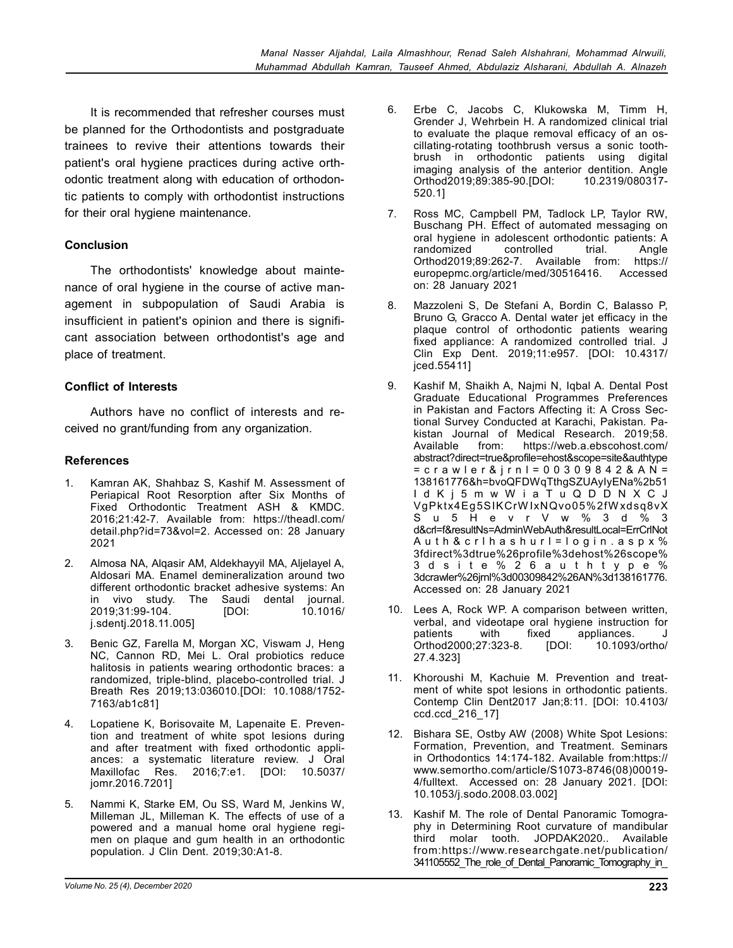It is recommended that refresher courses must be planned for the Orthodontists and postgraduate trainees to revive their attentions towards their patient's oral hygiene practices during active orthodontic treatment along with education of orthodontic patients to comply with orthodontist instructions for their oral hygiene maintenance.

# **Conclusion**

The orthodontists' knowledge about maintenance of oral hygiene in the course of active management in subpopulation of Saudi Arabia is insufficient in patient's opinion and there is significant association between orthodontist's age and place of treatment.

# **Conflict of Interests**

Authors have no conflict of interests and received no grant/funding from any organization.

# **References**

- 1. Kamran AK, Shahbaz S, Kashif M. Assessment of Periapical Root Resorption after Six Months of Fixed Orthodontic Treatment ASH & KMDC. 2016;21:42-7. Available from: https://theadl.com/ detail.php?id=73&vol=2. Accessed on: 28 January 2021
- 2. Almosa NA, Alqasir AM, Aldekhayyil MA, Aljelayel A, Aldosari MA. Enamel demineralization around two different orthodontic bracket adhesive systems: An in vivo study. The Saudi dental journal. 2019;31:99-104. j.sdentj.2018.11.005]
- 3. Benic GZ, Farella M, Morgan XC, Viswam J, Heng NC, Cannon RD, Mei L. Oral probiotics reduce halitosis in patients wearing orthodontic braces: a randomized, triple-blind, placebo-controlled trial. J Breath Res 2019;13:036010.[DOI: 10.1088/1752- 7163/ab1c81]
- 4. Lopatiene K, Borisovaite M, Lapenaite E. Prevention and treatment of white spot lesions during and after treatment with fixed orthodontic appliances: a systematic literature review. J Oral Maxillofac Res. 2016;7:e1. [DOI: 10.5037/ jomr.2016.7201]
- 5. Nammi K, Starke EM, Ou SS, Ward M, Jenkins W, Milleman JL, Milleman K. The effects of use of a powered and a manual home oral hygiene regimen on plaque and gum health in an orthodontic population. J Clin Dent. 2019;30:A1-8.
- 6. Erbe C, Jacobs C, Klukowska M, Timm H, Grender J, Wehrbein H. A randomized clinical trial to evaluate the plaque removal efficacy of an oscillating-rotating toothbrush versus a sonic toothbrush in orthodontic patients using digital imaging analysis of the anterior dentition. Angle Orthod2019;89:385-90.[DOI: 10.2319/080317- 520.1]
- 7. Ross MC, Campbell PM, Tadlock LP, Taylor RW, Buschang PH. Effect of automated messaging on oral hygiene in adolescent orthodontic patients: A<br>
randomized controlled trial. Angle randomized controlled trial. Angle Orthod2019;89:262-7. Available from: https://<br>europepmc.org/article/med/30516416. Accessed europepmc.org/article/med/30516416. on: 28 January 2021
- 8. Mazzoleni S, De Stefani A, Bordin C, Balasso P, Bruno G, Gracco A. Dental water jet efficacy in the plaque control of orthodontic patients wearing fixed appliance: A randomized controlled trial. J Clin Exp Dent. 2019;11:e957. [DOI: 10.4317/ jced.55411]
- 9. Kashif M, Shaikh A, Najmi N, Iqbal A. Dental Post Graduate Educational Programmes Preferences in Pakistan and Factors Affecting it: A Cross Sectional Survey Conducted at Karachi, Pakistan. Pakistan Journal of Medical Research. 2019;58.<br>Available from: https://web.a.ebscohost.com/ https://web.a.ebscohost.com/ abstract?direct=true&profile=ehost&scope=site&authtype = c r a w l e r & j r n l = 0 0 3 0 9 8 4 2 & A N = 138161776&h=bvoQFDWqTthgSZUAyIyENa%2b51 I d K j 5 m w W i a T u Q D D N X C J VgPktx4Eg5SIKCrW IxNQvo05%2fW xdsq8vX S u 5 H e v r V w % 3 d % 3 d&crl=f&resultNs=AdminWebAuth&resultLocal=ErrCrlNot Auth & crlhashurl=login.aspx% 3fdirect%3dtrue%26profile%3dehost%26scope% 3 d s i t e % 2 6 a u t h t y p e % 3dcrawler%26jrnl%3d00309842%26AN%3d138161776. Accessed on: 28 January 2021
- 10. Lees A, Rock WP. A comparison between written, verbal, and videotape oral hygiene instruction for patients with fixed appliances. J<br>Orthod2000;27:323-8. [DOI: 10.1093/ortho/ Orthod2000;27:323-8. [DOI: 27.4.323]
- 11. Khoroushi M, Kachuie M. Prevention and treatment of white spot lesions in orthodontic patients. Contemp Clin Dent2017 Jan;8:11. [DOI: 10.4103/ ccd.ccd\_216\_17]
- 12. Bishara SE, Ostby AW (2008) White Spot Lesions: Formation, Prevention, and Treatment. Seminars in Orthodontics 14:174-182. Available from:https:// www.semortho.com/article/S1073-8746(08)00019- 4/fulltext. Accessed on: 28 January 2021. [DOI: 10.1053/j.sodo.2008.03.002]
- 13. Kashif M. The role of Dental Panoramic Tomography in Determining Root curvature of mandibular third molar tooth. JOPDAK2020.. Available from:https://www.researchgate.net/publication/ 341105552\_The\_role\_of\_Dental\_Panoramic\_Tomography\_in\_